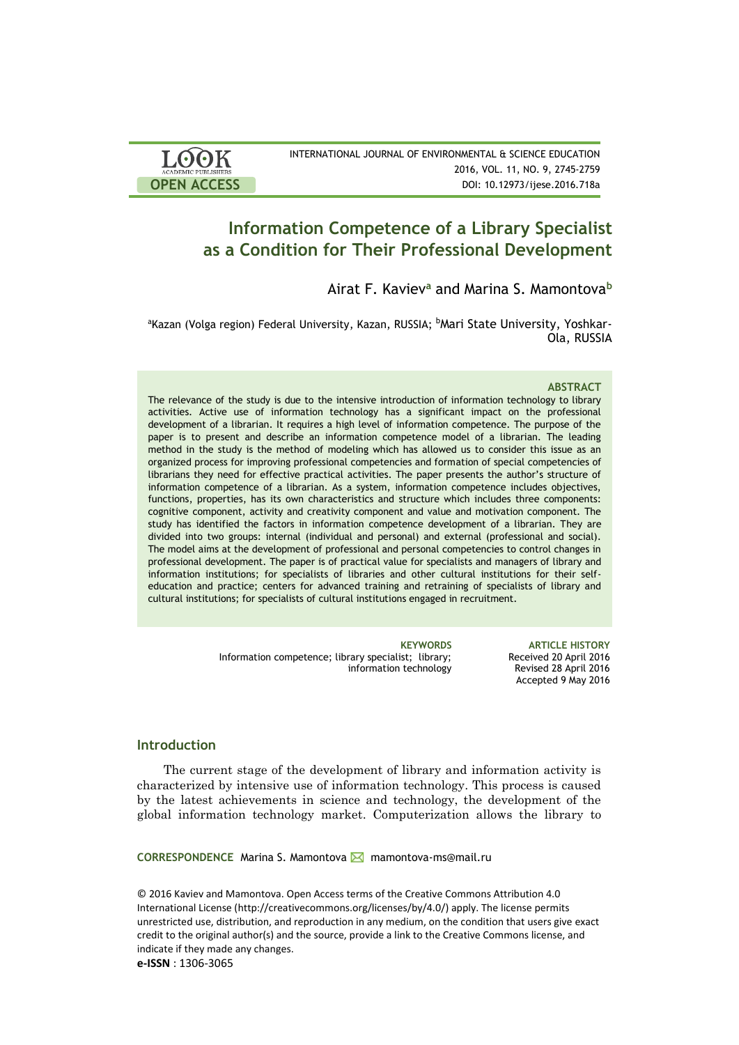| <b>LOOK</b>                | INTERNATIONAL JOURNAL OF ENVIRONMENTAL & SCIENCE EDUCATION |
|----------------------------|------------------------------------------------------------|
| <b>ACADEMIC PUBLISHERS</b> | 2016, VOL. 11, NO. 9, 2745-2759                            |
| <b>OPEN ACCESS</b>         | DOI: 10.12973/ijese.2016.718a                              |

# **Information Competence of a Library Specialist as a Condition for Their Professional Development**

Airat F. Kaviev**<sup>а</sup>** and Marina S. Mamontova**<sup>b</sup>**

<sup>a</sup>Kazan (Volga region) Federal University, Kazan, RUSSIA; <sup>b</sup>Mari State University, Yoshkar-Ola, RUSSIA

#### **ABSTRACT**

The relevance of the study is due to the intensive introduction of information technology to library activities. Active use of information technology has a significant impact on the professional development of a librarian. It requires a high level of information competence. The purpose of the paper is to present and describe an information competence model of a librarian. The leading method in the study is the method of modeling which has allowed us to consider this issue as an organized process for improving professional competencies and formation of special competencies of librarians they need for effective practical activities. The paper presents the author's structure of information competence of a librarian. As a system, information competence includes objectives, functions, properties, has its own characteristics and structure which includes three components: cognitive component, activity and creativity component and value and motivation component. The study has identified the factors in information competence development of a librarian. They are divided into two groups: internal (individual and personal) and external (professional and social). The model aims at the development of professional and personal competencies to control changes in professional development. The paper is of practical value for specialists and managers of library and information institutions; for specialists of libraries and other cultural institutions for their selfeducation and practice; centers for advanced training and retraining of specialists of library and cultural institutions; for specialists of cultural institutions engaged in recruitment.

> Information competence; library specialist; library; information technology

**KEYWORDS ARTICLE HISTORY** Received 20 April 2016 Revised 28 April 2016 Accepted 9 May 2016

## **Introduction**

The current stage of the development of library and information activity is characterized by intensive use of information technology. This process is caused by the latest achievements in science and technology, the development of the global information technology market. Computerization allows the library to

**CORRESPONDENCE** Marina S. Mamontova mamontova-ms@mail.ru

© 2016 Kaviev and Mamontova. Open Access terms of the Creative Commons Attribution 4.0 International License (http://creativecommons.org/licenses/by/4.0/) apply. The license permits unrestricted use, distribution, and reproduction in any medium, on the condition that users give exact credit to the original author(s) and the source, provide a link to the Creative Commons license, and indicate if they made any changes.

**e-ISSN** : 1306-3065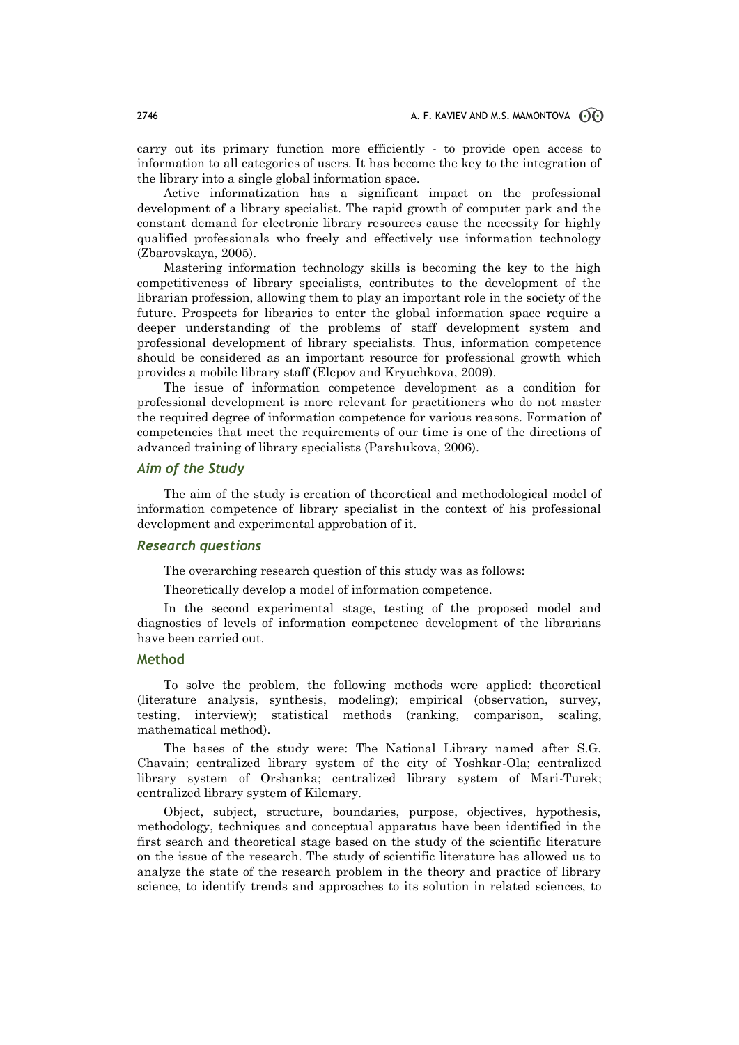carry out its primary function more efficiently - to provide open access to information to all categories of users. It has become the key to the integration of the library into a single global information space.

Active informatization has a significant impact on the professional development of a library specialist. The rapid growth of computer park and the constant demand for electronic library resources cause the necessity for highly qualified professionals who freely and effectively use information technology (Zbarovskaya, 2005).

Mastering information technology skills is becoming the key to the high competitiveness of library specialists, contributes to the development of the librarian profession, allowing them to play an important role in the society of the future. Prospects for libraries to enter the global information space require a deeper understanding of the problems of staff development system and professional development of library specialists. Thus, information competence should be considered as an important resource for professional growth which provides a mobile library staff (Elepov and Kryuchkova, 2009).

The issue of information competence development as a condition for professional development is more relevant for practitioners who do not master the required degree of information competence for various reasons. Formation of competencies that meet the requirements of our time is one of the directions of advanced training of library specialists (Parshukova, 2006).

### *Aim of the Study*

The aim of the study is creation of theoretical and methodological model of information competence of library specialist in the context of his professional development and experimental approbation of it.

#### *Research questions*

The overarching research question of this study was as follows:

Theoretically develop a model of information competence.

In the second experimental stage, testing of the proposed model and diagnostics of levels of information competence development of the librarians have been carried out.

## **Method**

To solve the problem, the following methods were applied: theoretical (literature analysis, synthesis, modeling); empirical (observation, survey, testing, interview); statistical methods (ranking, comparison, scaling, mathematical method).

The bases of the study were: The National Library named after S.G. Chavain; centralized library system of the city of Yoshkar-Ola; centralized library system of Orshanka; centralized library system of Mari-Turek; centralized library system of Kilemary.

Object, subject, structure, boundaries, purpose, objectives, hypothesis, methodology, techniques and conceptual apparatus have been identified in the first search and theoretical stage based on the study of the scientific literature on the issue of the research. The study of scientific literature has allowed us to analyze the state of the research problem in the theory and practice of library science, to identify trends and approaches to its solution in related sciences, to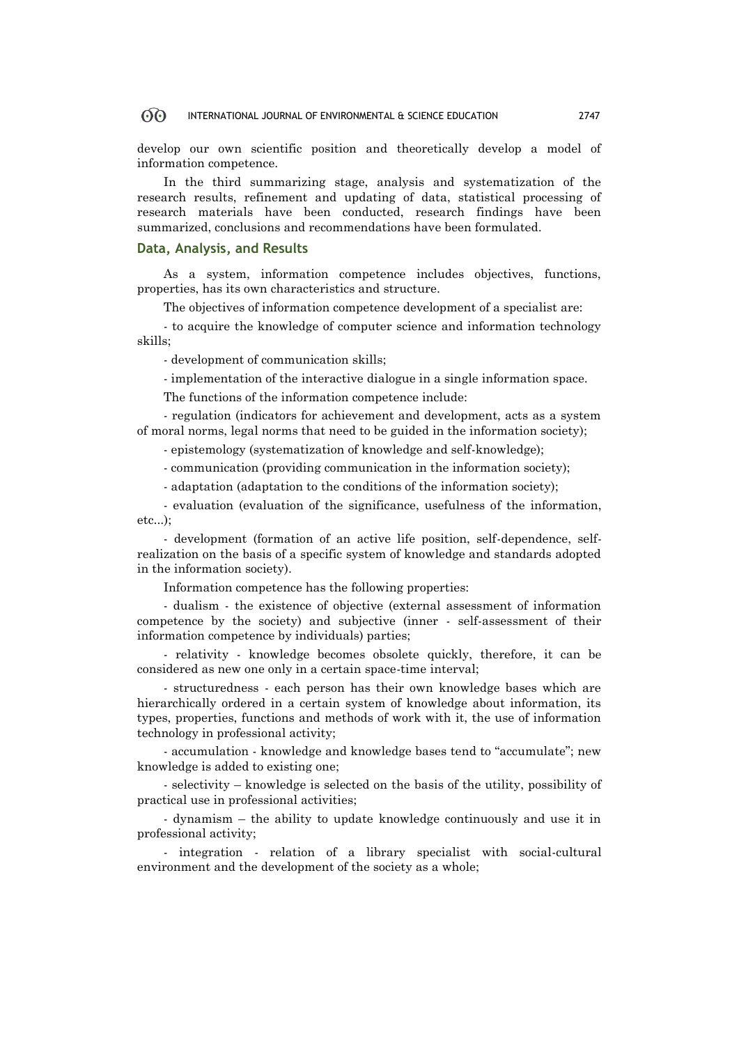develop our own scientific position and theoretically develop a model of information competence.

In the third summarizing stage, analysis and systematization of the research results, refinement and updating of data, statistical processing of research materials have been conducted, research findings have been summarized, conclusions and recommendations have been formulated.

#### **Data, Analysis, and Results**

As a system, information competence includes objectives, functions, properties, has its own characteristics and structure.

The objectives of information competence development of a specialist are:

- to acquire the knowledge of computer science and information technology skills;

- development of communication skills;

- implementation of the interactive dialogue in a single information space.

The functions of the information competence include:

- regulation (indicators for achievement and development, acts as a system of moral norms, legal norms that need to be guided in the information society);

- epistemology (systematization of knowledge and self-knowledge);

- communication (providing communication in the information society);

- adaptation (adaptation to the conditions of the information society);

- evaluation (evaluation of the significance, usefulness of the information, etc...);

- development (formation of an active life position, self-dependence, selfrealization on the basis of a specific system of knowledge and standards adopted in the information society).

Information competence has the following properties:

- dualism - the existence of objective (external assessment of information competence by the society) and subjective (inner - self-assessment of their information competence by individuals) parties;

- relativity - knowledge becomes obsolete quickly, therefore, it can be considered as new one only in a certain space-time interval;

- structuredness - each person has their own knowledge bases which are hierarchically ordered in a certain system of knowledge about information, its types, properties, functions and methods of work with it, the use of information technology in professional activity;

- accumulation - knowledge and knowledge bases tend to "accumulate"; new knowledge is added to existing one;

- selectivity – knowledge is selected on the basis of the utility, possibility of practical use in professional activities;

- dynamism – the ability to update knowledge continuously and use it in professional activity;

- integration - relation of a library specialist with social-cultural environment and the development of the society as a whole;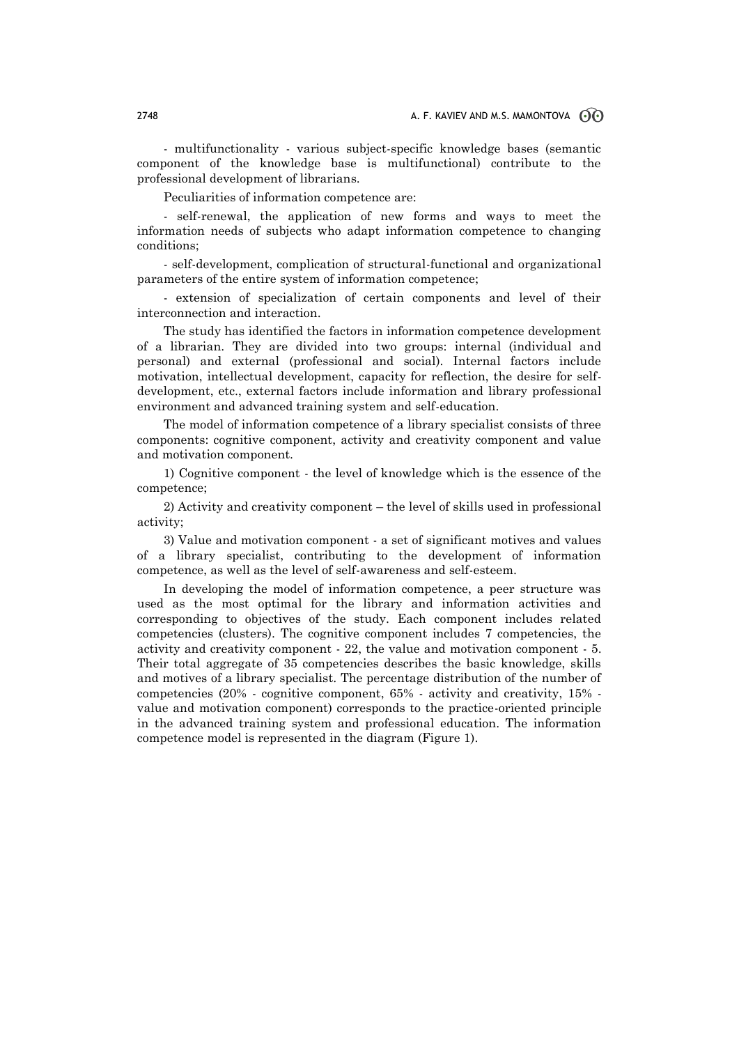- multifunctionality - various subject-specific knowledge bases (semantic component of the knowledge base is multifunctional) contribute to the professional development of librarians.

Peculiarities of information competence are:

- self-renewal, the application of new forms and ways to meet the information needs of subjects who adapt information competence to changing conditions;

- self-development, complication of structural-functional and organizational parameters of the entire system of information competence;

- extension of specialization of certain components and level of their interconnection and interaction.

The study has identified the factors in information competence development of a librarian. They are divided into two groups: internal (individual and personal) and external (professional and social). Internal factors include motivation, intellectual development, capacity for reflection, the desire for selfdevelopment, etc., external factors include information and library professional environment and advanced training system and self-education.

The model of information competence of a library specialist consists of three components: cognitive component, activity and creativity component and value and motivation component.

1) Cognitive component - the level of knowledge which is the essence of the competence;

2) Activity and creativity component – the level of skills used in professional activity;

3) Value and motivation component - a set of significant motives and values of a library specialist, contributing to the development of information competence, as well as the level of self-awareness and self-esteem.

In developing the model of information competence, a peer structure was used as the most optimal for the library and information activities and corresponding to objectives of the study. Each component includes related competencies (clusters). The cognitive component includes 7 competencies, the activity and creativity component - 22, the value and motivation component - 5. Their total aggregate of 35 competencies describes the basic knowledge, skills and motives of a library specialist. The percentage distribution of the number of competencies (20% - cognitive component, 65% - activity and creativity, 15% value and motivation component) corresponds to the practice-oriented principle in the advanced training system and professional education. The information competence model is represented in the diagram (Figure 1).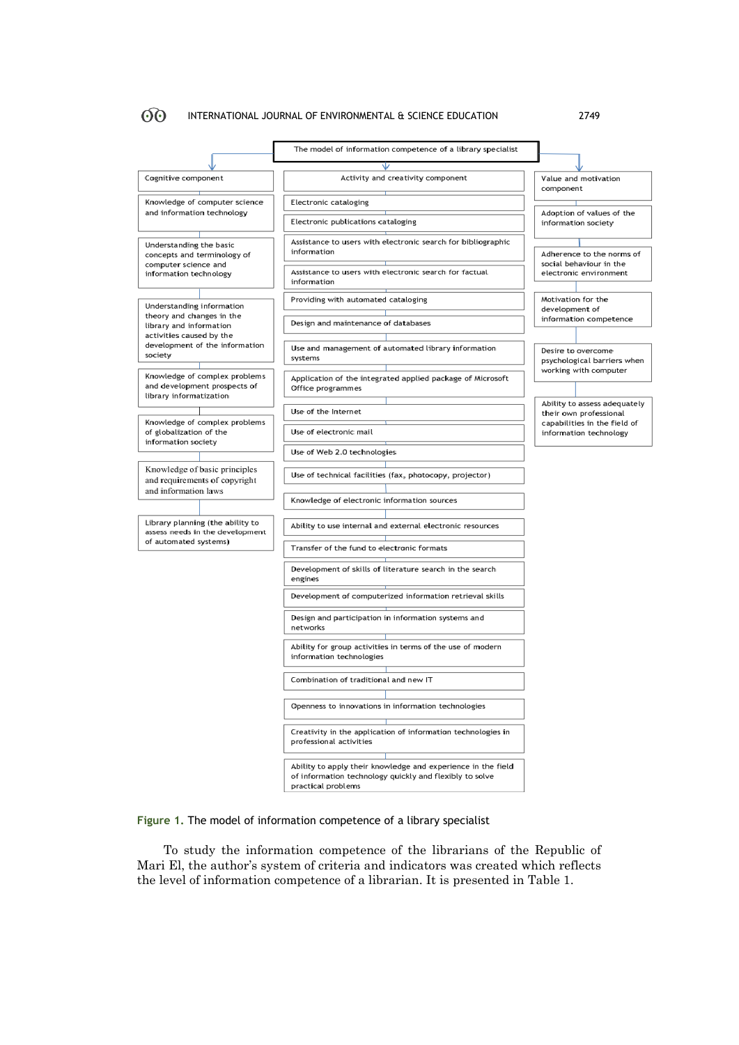

## **Figure 1.** The model of information competence of a library specialist

To study the information competence of the librarians of the Republic of Mari El, the author's system of criteria and indicators was created which reflects the level of information competence of a librarian. It is presented in Table 1.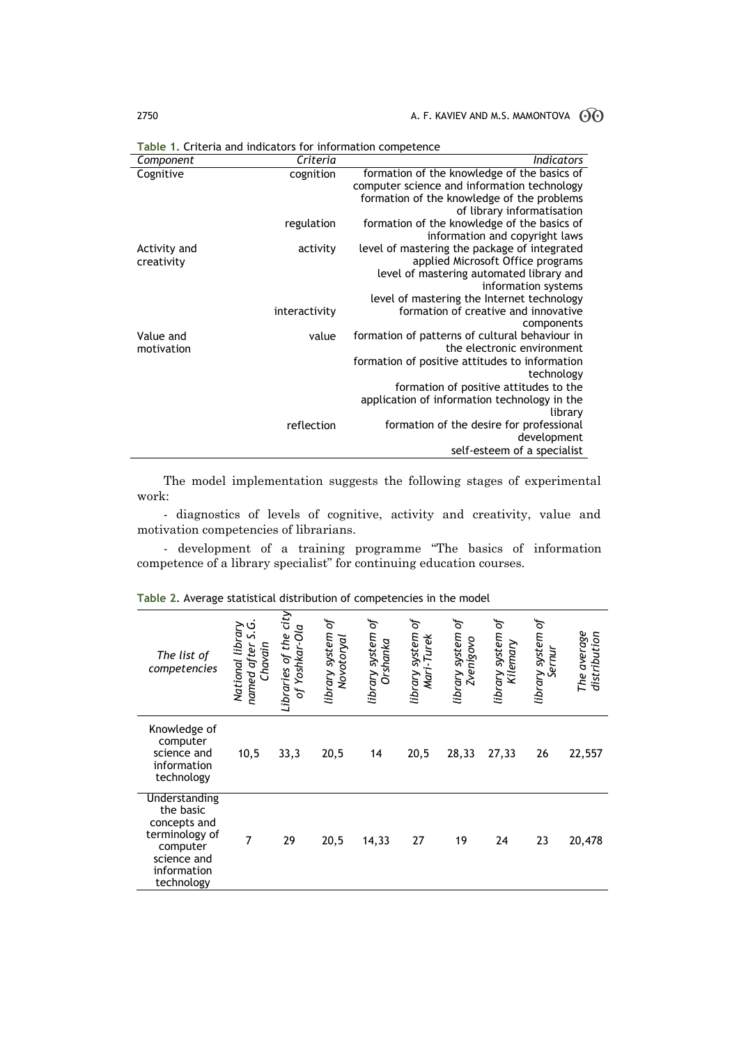## 2750  $\blacksquare$  A. F. KAVIEV AND M.S. MAMONTOVA  $\odot\odot$

| Criteria  | <b>Indicators</b>                                              |
|-----------|----------------------------------------------------------------|
| cognition | formation of the knowledge of the basics of                    |
|           | computer science and information technology                    |
|           | formation of the knowledge of the problems                     |
|           | of library informatisation                                     |
|           | formation of the knowledge of the basics of                    |
|           | information and copyright laws                                 |
|           | level of mastering the package of integrated                   |
|           | applied Microsoft Office programs                              |
|           | level of mastering automated library and                       |
|           | information systems                                            |
|           | level of mastering the Internet technology                     |
|           | formation of creative and innovative                           |
|           | components<br>formation of patterns of cultural behaviour in   |
|           | the electronic environment                                     |
|           | formation of positive attitudes to information                 |
|           | technology                                                     |
|           | formation of positive attitudes to the                         |
|           | application of information technology in the                   |
|           | library                                                        |
|           | formation of the desire for professional                       |
|           | development                                                    |
|           | self-esteem of a specialist                                    |
|           | regulation<br>activity<br>interactivity<br>value<br>reflection |

**Table 1.** Criteria and indicators for information competence

The model implementation suggests the following stages of experimental work:

- diagnostics of levels of cognitive, activity and creativity, value and motivation competencies of librarians.

- development of a training programme "The basics of information competence of a library specialist" for continuing education courses.

| The list of<br>competencies                                                                                          | ڣ<br>National library<br>n<br>Chavain<br>named after | Libraries of the city<br>of Yoshkar-Ola | library system of<br>Novotoryal | ъf<br>library system<br>Orshanka | library system of<br>Mari-Turek | library system of<br><b>Zvenigovo</b> | ъ<br>library system<br>Kilemary | library system of<br>Sernur | The average<br>distribution |
|----------------------------------------------------------------------------------------------------------------------|------------------------------------------------------|-----------------------------------------|---------------------------------|----------------------------------|---------------------------------|---------------------------------------|---------------------------------|-----------------------------|-----------------------------|
| Knowledge of<br>computer<br>science and<br>information<br>technology                                                 | 10,5                                                 | 33,3                                    | 20,5                            | 14                               | 20,5                            | 28,33                                 | 27,33                           | 26                          | 22,557                      |
| Understanding<br>the basic<br>concepts and<br>terminology of<br>computer<br>science and<br>information<br>technology | $\overline{7}$                                       | 29                                      | 20,5                            | 14,33                            | 27                              | 19                                    | 24                              | 23                          | 20,478                      |

**Table 2**. Average statistical distribution of competencies in the model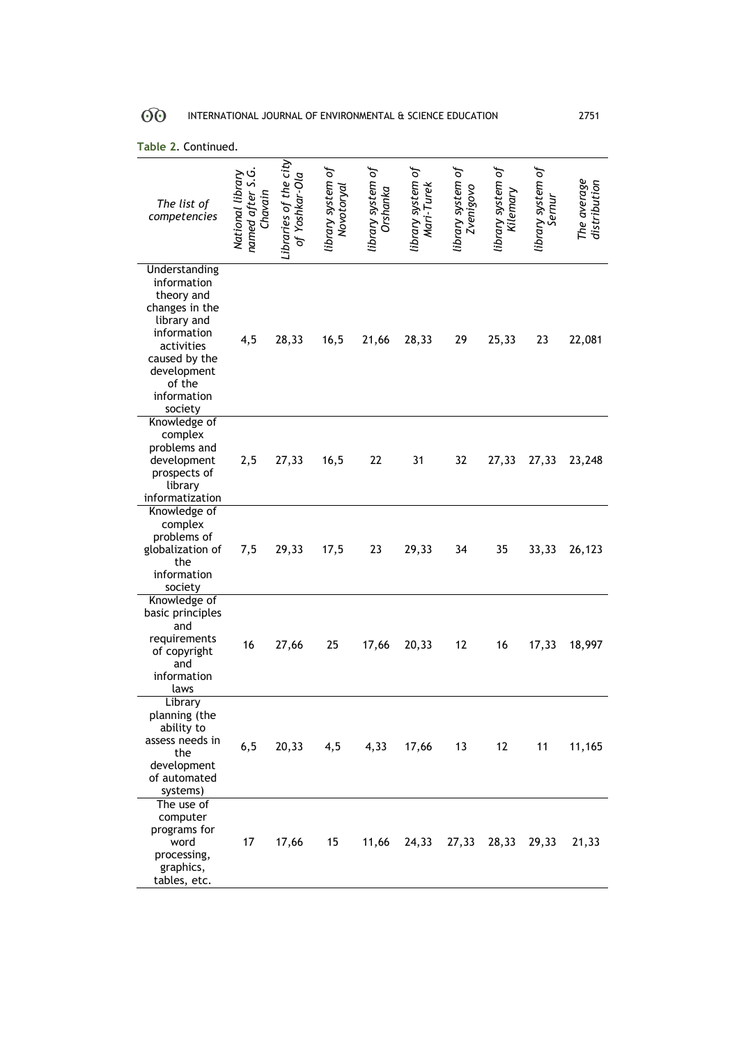| The list of<br>competencies                                                                                                                                                  | ς<br>ά<br>National library<br>named after S<br>Chavain | Libraries of the city<br>of Yoshkar-Ola | library system of<br>Novotoryal | library system of<br>Orshanka | library system of<br>Mari-Turek | library system of<br>Zvenigovo | library system of<br>Kilemary | library system of<br>Sernur | The average<br>distribution |
|------------------------------------------------------------------------------------------------------------------------------------------------------------------------------|--------------------------------------------------------|-----------------------------------------|---------------------------------|-------------------------------|---------------------------------|--------------------------------|-------------------------------|-----------------------------|-----------------------------|
| Understanding<br>information<br>theory and<br>changes in the<br>library and<br>information<br>activities<br>caused by the<br>development<br>of the<br>information<br>society | 4,5                                                    | 28,33                                   | 16,5                            | 21,66                         | 28,33                           | 29                             | 25,33                         | 23                          | 22,081                      |
| Knowledge of<br>complex<br>problems and<br>development<br>prospects of<br>library<br>informatization                                                                         | 2,5                                                    | 27,33                                   | 16,5                            | 22                            | 31                              | 32                             | 27,33                         | 27,33                       | 23,248                      |
| Knowledge of<br>complex<br>problems of<br>globalization of<br>the<br>information<br>society                                                                                  | 7,5                                                    | 29,33                                   | 17,5                            | 23                            | 29,33                           | 34                             | 35                            | 33,33                       | 26,123                      |
| Knowledge of<br>basic principles<br>and<br>requirements<br>of copyright<br>and<br>information<br>laws                                                                        | 16                                                     | 27,66                                   | 25                              | 17,66                         | 20,33                           | 12                             | 16                            | 17,33                       | 18,997                      |
| Library<br>planning (the<br>ability to<br>assess needs in<br>the<br>development<br>of automated<br>systems)                                                                  | 6,5                                                    |                                         | 20,33 4,5                       | 4,33                          | 17,66                           | 13                             | 12                            | 11                          | 11,165                      |
| The use of<br>computer<br>programs for<br>word<br>processing,<br>graphics,<br>tables, etc.                                                                                   | 17                                                     | 17,66                                   | 15                              | 11,66                         | 24,33                           | 27,33                          | 28,33                         | 29,33                       | 21,33                       |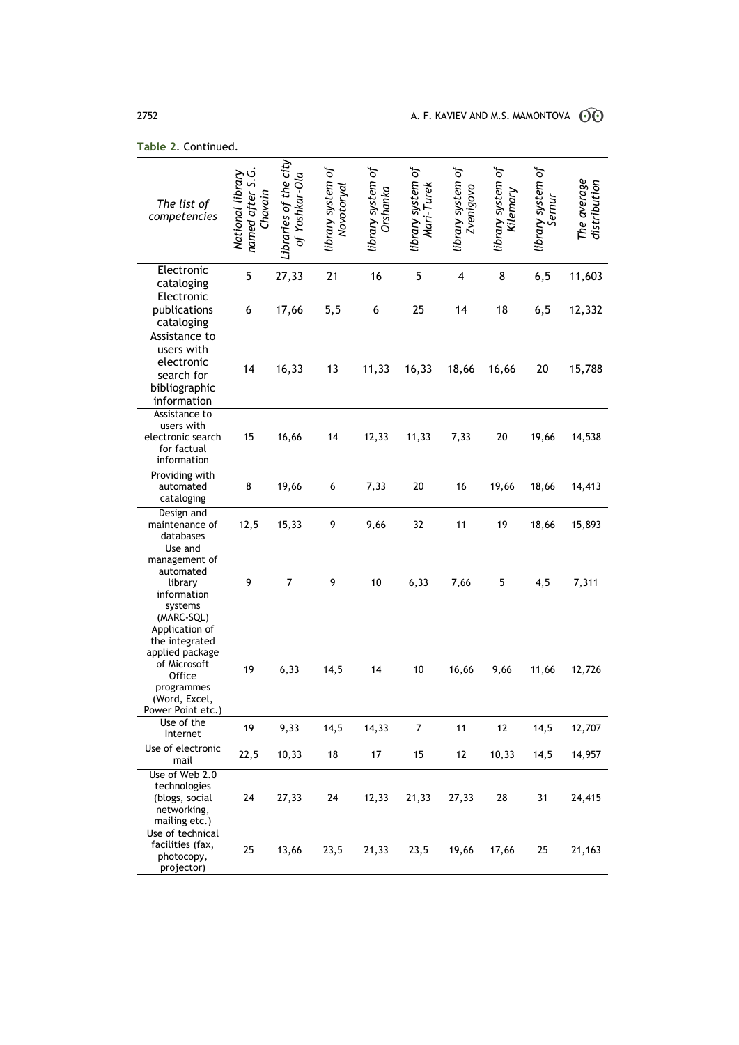| The list of<br>competencies                                                                                                       | named after S.G.<br>National library<br>Chavain | Libraries of the city<br>of Yoshkar-Ola | library system of<br>Novotoryal | library system of<br>Orshanka | library system of<br>Mari-Turek | library system of<br><b>Zvenigovo</b> | library system of<br>Kilemary | library system of<br>Sernur | The average<br>distribution |
|-----------------------------------------------------------------------------------------------------------------------------------|-------------------------------------------------|-----------------------------------------|---------------------------------|-------------------------------|---------------------------------|---------------------------------------|-------------------------------|-----------------------------|-----------------------------|
| Electronic<br>cataloging                                                                                                          | 5                                               | 27,33                                   | 21                              | 16                            | 5                               | 4                                     | 8                             | 6, 5                        | 11,603                      |
| Electronic<br>publications<br>cataloging                                                                                          | 6                                               | 17,66                                   | 5,5                             | 6                             | 25                              | 14                                    | 18                            | 6, 5                        | 12,332                      |
| Assistance to<br>users with<br>electronic<br>search for<br>bibliographic<br>information                                           | 14                                              | 16,33                                   | 13                              | 11,33                         | 16,33                           | 18,66                                 | 16,66                         | 20                          | 15,788                      |
| Assistance to<br>users with<br>electronic search<br>for factual<br>information                                                    | 15                                              | 16,66                                   | 14                              | 12,33                         | 11,33                           | 7,33                                  | 20                            | 19,66                       | 14,538                      |
| Providing with<br>automated<br>cataloging                                                                                         | 8                                               | 19,66                                   | 6                               | 7,33                          | 20                              | 16                                    | 19,66                         | 18,66                       | 14,413                      |
| Design and<br>maintenance of<br>databases                                                                                         | 12,5                                            | 15,33                                   | 9                               | 9,66                          | 32                              | 11                                    | 19                            | 18,66                       | 15,893                      |
| Use and<br>management of<br>automated<br>library<br>information<br>systems<br>(MARC-SQL)                                          | 9                                               | $\overline{7}$                          | 9                               | 10                            | 6,33                            | 7,66                                  | 5                             | 4,5                         | 7,311                       |
| Application of<br>the integrated<br>applied package<br>of Microsoft<br>Office<br>programmes<br>(Word, Excel,<br>Power Point etc.) | 19                                              | 6,33                                    | 14,5                            | 14                            | 10                              | 16,66                                 | 9,66                          | 11,66                       | 12,726                      |
| Use of the<br>Internet                                                                                                            | 19                                              | 9,33                                    | 14,5                            | 14,33                         | $\overline{7}$                  | 11                                    | 12                            | 14,5                        | 12,707                      |
| Use of electronic<br>mail                                                                                                         | 22,5                                            | 10,33                                   | 18                              | 17                            | 15                              | 12                                    | 10,33                         | 14,5                        | 14,957                      |
| Use of Web 2.0<br>technologies<br>(blogs, social<br>networking,<br>mailing etc.)                                                  | 24                                              | 27,33                                   | 24                              | 12,33                         | 21,33                           | 27,33                                 | 28                            | 31                          | 24,415                      |
| Use of technical<br>facilities (fax,<br>photocopy,<br>projector)                                                                  | 25                                              | 13,66                                   | 23,5                            | 21,33                         | 23,5                            | 19,66                                 | 17,66                         | 25                          | 21,163                      |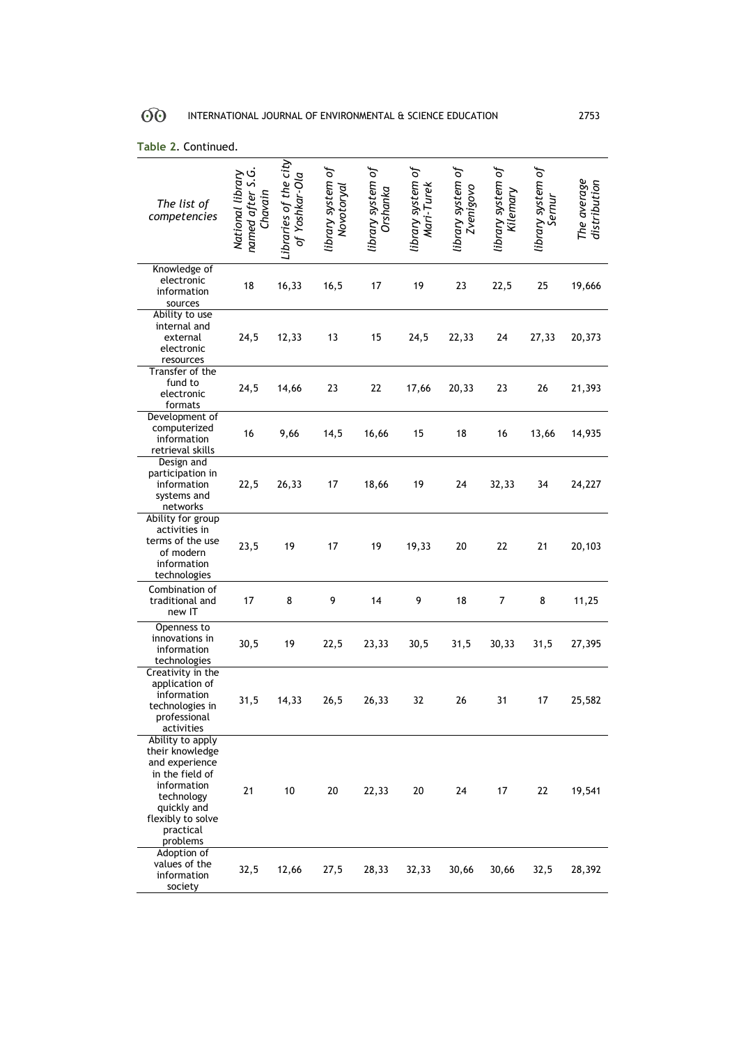| The list of<br>competencies                                                                                                                                        | named after S.G.<br>National library<br>Chavain | Libraries of the city<br>of Yoshkar-Ola | library system of<br>Novotorya | library system of<br>Orshanka | library system of<br>Mari-Turek | library system of<br>Zvenigovo | library system of<br>Kilemary | library system of<br>Sernur | The average<br>distribution |
|--------------------------------------------------------------------------------------------------------------------------------------------------------------------|-------------------------------------------------|-----------------------------------------|--------------------------------|-------------------------------|---------------------------------|--------------------------------|-------------------------------|-----------------------------|-----------------------------|
| Knowledge of<br>electronic<br>information<br>sources                                                                                                               | 18                                              | 16,33                                   | 16,5                           | 17                            | 19                              | 23                             | 22,5                          | 25                          | 19,666                      |
| Ability to use<br>internal and<br>external<br>electronic<br>resources                                                                                              | 24,5                                            | 12,33                                   | 13                             | 15                            | 24,5                            | 22,33                          | 24                            | 27,33                       | 20,373                      |
| Transfer of the<br>fund to<br>electronic<br>formats                                                                                                                | 24,5                                            | 14,66                                   | 23                             | 22                            | 17,66                           | 20,33                          | 23                            | 26                          | 21,393                      |
| Development of<br>computerized<br>information<br>retrieval skills                                                                                                  | 16                                              | 9,66                                    | 14,5                           | 16,66                         | 15                              | 18                             | 16                            | 13,66                       | 14,935                      |
| Design and<br>participation in<br>information<br>systems and<br>networks                                                                                           | 22,5                                            | 26,33                                   | 17                             | 18,66                         | 19                              | 24                             | 32,33                         | 34                          | 24,227                      |
| Ability for group<br>activities in<br>terms of the use<br>of modern<br>information<br>technologies                                                                 | 23,5                                            | 19                                      | 17                             | 19                            | 19,33                           | 20                             | 22                            | 21                          | 20,103                      |
| Combination of<br>traditional and<br>new IT                                                                                                                        | 17                                              | 8                                       | 9                              | 14                            | 9                               | 18                             | 7                             | 8                           | 11,25                       |
| Openness to<br>innovations in<br>information<br>technologies                                                                                                       | 30,5                                            | 19                                      | 22,5                           | 23,33                         | 30,5                            | 31,5                           | 30,33                         | 31,5                        | 27,395                      |
| Creativity in the<br>application of<br>information<br>technologies in<br>professional<br>activities                                                                | 31,5                                            | 14,33                                   | 26,5                           | 26,33                         | 32                              | 26                             | 31                            | 17                          | 25,582                      |
| Ability to apply<br>their knowledge<br>and experience<br>in the field of<br>information<br>technology<br>quickly and<br>flexibly to solve<br>practical<br>problems | 21                                              | 10                                      | 20                             | 22,33                         | 20                              | 24                             | 17                            | 22                          | 19,541                      |
| Adoption of<br>values of the<br>information<br>society                                                                                                             | 32,5                                            | 12,66                                   | 27,5                           | 28,33                         | 32,33                           | 30,66                          | 30,66                         | 32,5                        | 28,392                      |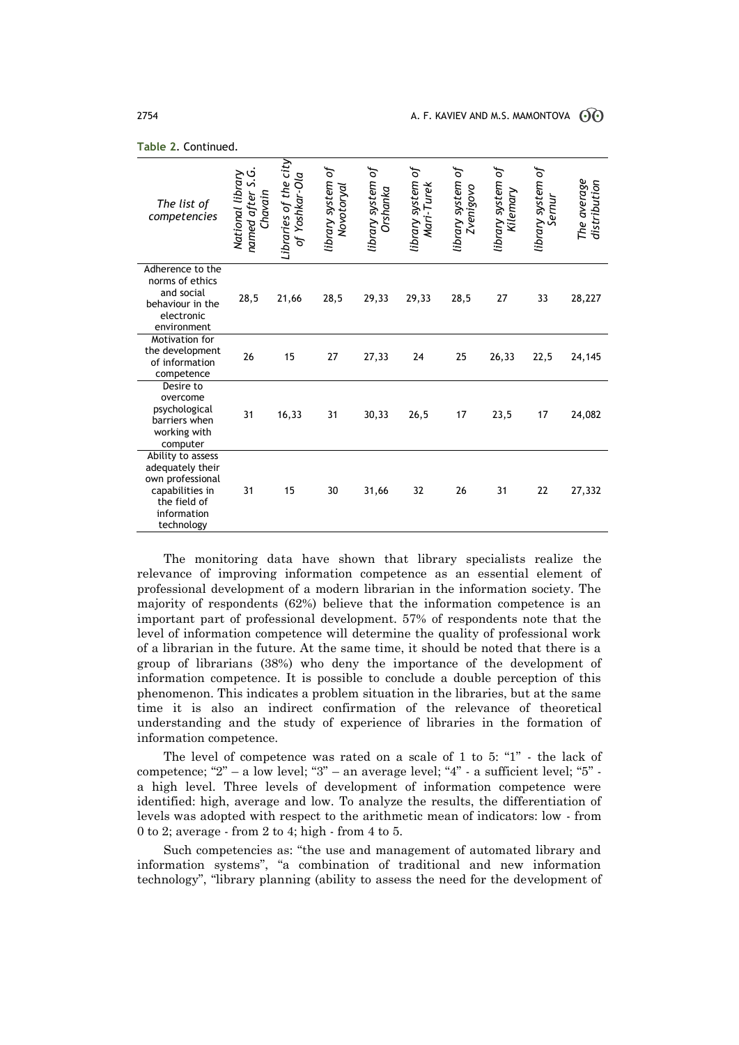| The list of<br>competencies                                                                                               | ৩<br>National library<br>s.<br>named after<br>Chavain | Libraries of the city<br>of Yoshkar-Ola | library system of<br>Novotoryal | library system of<br>Orshanka | library system of<br>Mari-Turek | library system of<br><b>Zvenigovo</b> | library system of<br>Kilemary | library system of<br>ernur | The average<br>distribution |
|---------------------------------------------------------------------------------------------------------------------------|-------------------------------------------------------|-----------------------------------------|---------------------------------|-------------------------------|---------------------------------|---------------------------------------|-------------------------------|----------------------------|-----------------------------|
| Adherence to the<br>norms of ethics<br>and social<br>behaviour in the<br>electronic<br>environment                        | 28,5                                                  | 21,66                                   | 28,5                            | 29,33                         | 29,33                           | 28,5                                  | 27                            | 33                         | 28,227                      |
| Motivation for<br>the development<br>of information<br>competence                                                         | 26                                                    | 15                                      | 27                              | 27,33                         | 24                              | 25                                    | 26,33                         | 22,5                       | 24,145                      |
| Desire to<br>overcome<br>psychological<br>barriers when<br>working with<br>computer                                       | 31                                                    | 16,33                                   | 31                              | 30,33                         | 26,5                            | 17                                    | 23,5                          | 17                         | 24,082                      |
| Ability to assess<br>adequately their<br>own professional<br>capabilities in<br>the field of<br>information<br>technology | 31                                                    | 15                                      | 30                              | 31,66                         | 32                              | 26                                    | 31                            | 22                         | 27,332                      |

The monitoring data have shown that library specialists realize the relevance of improving information competence as an essential element of professional development of a modern librarian in the information society. The majority of respondents (62%) believe that the information competence is an important part of professional development. 57% of respondents note that the level of information competence will determine the quality of professional work of a librarian in the future. At the same time, it should be noted that there is a group of librarians (38%) who deny the importance of the development of information competence. It is possible to conclude a double perception of this phenomenon. This indicates a problem situation in the libraries, but at the same time it is also an indirect confirmation of the relevance of theoretical understanding and the study of experience of libraries in the formation of information competence.

The level of competence was rated on a scale of 1 to 5: "1" - the lack of competence; "2" – a low level; "3" – an average level; "4" - a sufficient level; "5" a high level. Three levels of development of information competence were identified: high, average and low. To analyze the results, the differentiation of levels was adopted with respect to the arithmetic mean of indicators: low - from 0 to 2; average - from 2 to 4; high - from 4 to 5.

Such competencies as: "the use and management of automated library and information systems", "a combination of traditional and new information technology", "library planning (ability to assess the need for the development of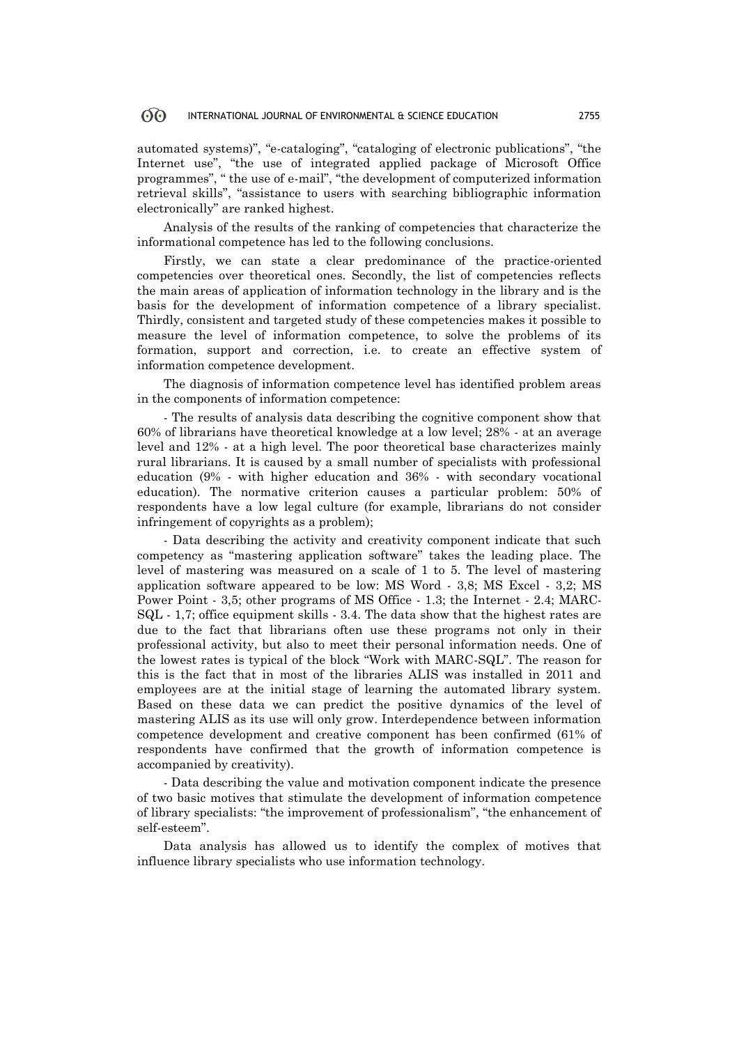automated systems)", "e-cataloging", "cataloging of electronic publications", "the Internet use", "the use of integrated applied package of Microsoft Office programmes", " the use of e-mail", "the development of computerized information retrieval skills", "assistance to users with searching bibliographic information electronically" are ranked highest.

Analysis of the results of the ranking of competencies that characterize the informational competence has led to the following conclusions.

Firstly, we can state a clear predominance of the practice-oriented competencies over theoretical ones. Secondly, the list of competencies reflects the main areas of application of information technology in the library and is the basis for the development of information competence of a library specialist. Thirdly, consistent and targeted study of these competencies makes it possible to measure the level of information competence, to solve the problems of its formation, support and correction, i.e. to create an effective system of information competence development.

The diagnosis of information competence level has identified problem areas in the components of information competence:

- The results of analysis data describing the cognitive component show that 60% of librarians have theoretical knowledge at a low level; 28% - at an average level and 12% - at a high level. The poor theoretical base characterizes mainly rural librarians. It is caused by a small number of specialists with professional education (9% - with higher education and 36% - with secondary vocational education). The normative criterion causes a particular problem: 50% of respondents have a low legal culture (for example, librarians do not consider infringement of copyrights as a problem);

- Data describing the activity and creativity component indicate that such competency as "mastering application software" takes the leading place. The level of mastering was measured on a scale of 1 to 5. The level of mastering application software appeared to be low: MS Word - 3,8; MS Excel - 3,2; MS Power Point - 3,5; other programs of MS Office - 1.3; the Internet - 2.4; MARC-SQL - 1,7; office equipment skills - 3.4. The data show that the highest rates are due to the fact that librarians often use these programs not only in their professional activity, but also to meet their personal information needs. One of the lowest rates is typical of the block "Work with MARC-SQL". The reason for this is the fact that in most of the libraries ALIS was installed in 2011 and employees are at the initial stage of learning the automated library system. Based on these data we can predict the positive dynamics of the level of mastering ALIS as its use will only grow. Interdependence between information competence development and creative component has been confirmed (61% of respondents have confirmed that the growth of information competence is accompanied by creativity).

- Data describing the value and motivation component indicate the presence of two basic motives that stimulate the development of information competence of library specialists: "the improvement of professionalism", "the enhancement of self-esteem".

Data analysis has allowed us to identify the complex of motives that influence library specialists who use information technology.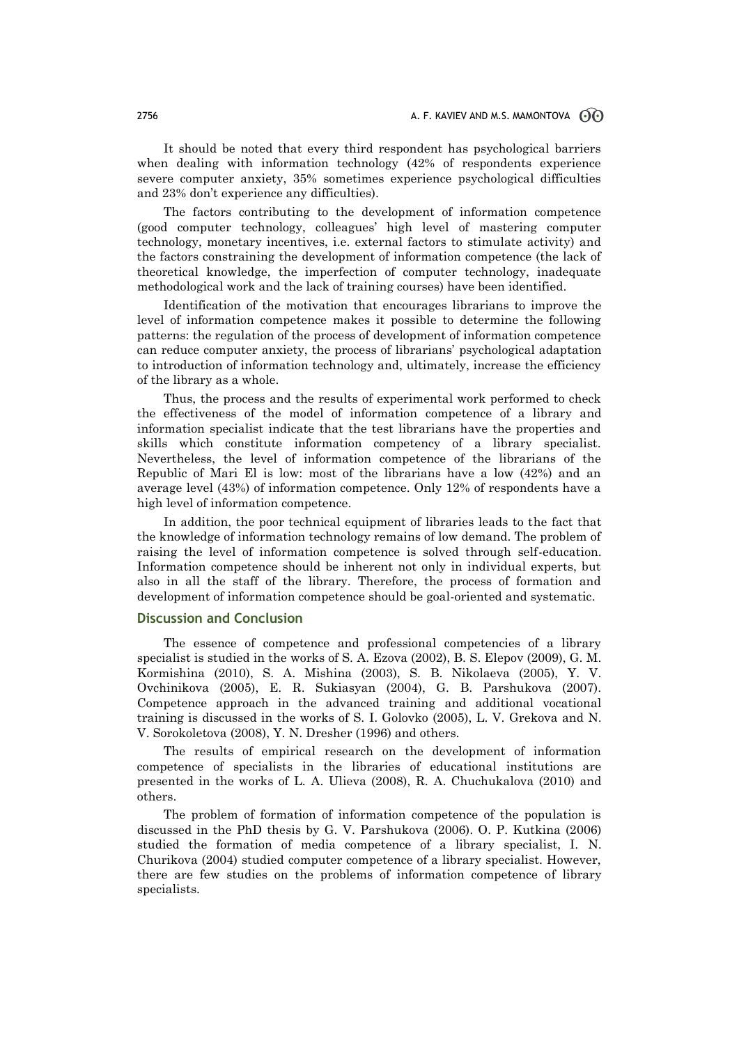It should be noted that every third respondent has psychological barriers when dealing with information technology (42% of respondents experience severe computer anxiety, 35% sometimes experience psychological difficulties and 23% don't experience any difficulties).

The factors contributing to the development of information competence (good computer technology, colleagues' high level of mastering computer technology, monetary incentives, i.e. external factors to stimulate activity) and the factors constraining the development of information competence (the lack of theoretical knowledge, the imperfection of computer technology, inadequate methodological work and the lack of training courses) have been identified.

Identification of the motivation that encourages librarians to improve the level of information competence makes it possible to determine the following patterns: the regulation of the process of development of information competence can reduce computer anxiety, the process of librarians' psychological adaptation to introduction of information technology and, ultimately, increase the efficiency of the library as a whole.

Thus, the process and the results of experimental work performed to check the effectiveness of the model of information competence of a library and information specialist indicate that the test librarians have the properties and skills which constitute information competency of a library specialist. Nevertheless, the level of information competence of the librarians of the Republic of Mari El is low: most of the librarians have a low (42%) and an average level (43%) of information competence. Only 12% of respondents have a high level of information competence.

In addition, the poor technical equipment of libraries leads to the fact that the knowledge of information technology remains of low demand. The problem of raising the level of information competence is solved through self-education. Information competence should be inherent not only in individual experts, but also in all the staff of the library. Therefore, the process of formation and development of information competence should be goal-oriented and systematic.

## **Discussion and Conclusion**

The essence of competence and professional competencies of a library specialist is studied in the works of S. A. Ezova (2002), B. S. Elepov (2009), G. M. Kormishina (2010), S. A. Mishina (2003), S. B. Nikolaeva (2005), Y. V. Ovchinikova (2005), E. R. Sukiasyan (2004), G. B. Parshukova (2007). Competence approach in the advanced training and additional vocational training is discussed in the works of S. I. Golovko (2005), L. V. Grekova and N. V. Sorokoletova (2008), Y. N. Dresher (1996) and others.

The results of empirical research on the development of information competence of specialists in the libraries of educational institutions are presented in the works of L. A. Ulieva (2008), R. A. Chuchukalova (2010) and others.

The problem of formation of information competence of the population is discussed in the PhD thesis by G. V. Parshukova (2006). O. P. Kutkina (2006) studied the formation of media competence of a library specialist, I. N. Churikova (2004) studied computer competence of a library specialist. However, there are few studies on the problems of information competence of library specialists.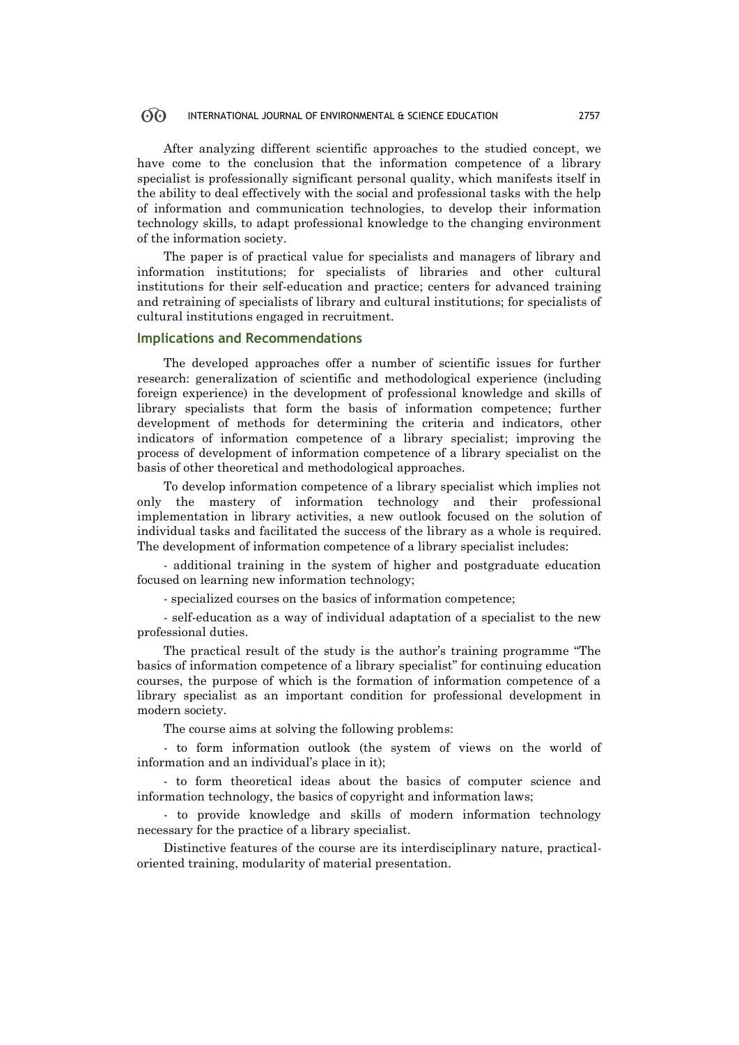After analyzing different scientific approaches to the studied concept, we have come to the conclusion that the information competence of a library specialist is professionally significant personal quality, which manifests itself in the ability to deal effectively with the social and professional tasks with the help of information and communication technologies, to develop their information technology skills, to adapt professional knowledge to the changing environment of the information society.

The paper is of practical value for specialists and managers of library and information institutions; for specialists of libraries and other cultural institutions for their self-education and practice; centers for advanced training and retraining of specialists of library and cultural institutions; for specialists of cultural institutions engaged in recruitment.

## **Implications and Recommendations**

The developed approaches offer a number of scientific issues for further research: generalization of scientific and methodological experience (including foreign experience) in the development of professional knowledge and skills of library specialists that form the basis of information competence; further development of methods for determining the criteria and indicators, other indicators of information competence of a library specialist; improving the process of development of information competence of a library specialist on the basis of other theoretical and methodological approaches.

To develop information competence of a library specialist which implies not only the mastery of information technology and their professional implementation in library activities, a new outlook focused on the solution of individual tasks and facilitated the success of the library as a whole is required. The development of information competence of a library specialist includes:

- additional training in the system of higher and postgraduate education focused on learning new information technology;

- specialized courses on the basics of information competence;

- self-education as a way of individual adaptation of a specialist to the new professional duties.

The practical result of the study is the author's training programme "The basics of information competence of a library specialist" for continuing education courses, the purpose of which is the formation of information competence of a library specialist as an important condition for professional development in modern society.

The course aims at solving the following problems:

- to form information outlook (the system of views on the world of information and an individual's place in it);

- to form theoretical ideas about the basics of computer science and information technology, the basics of copyright and information laws;

- to provide knowledge and skills of modern information technology necessary for the practice of a library specialist.

Distinctive features of the course are its interdisciplinary nature, practicaloriented training, modularity of material presentation.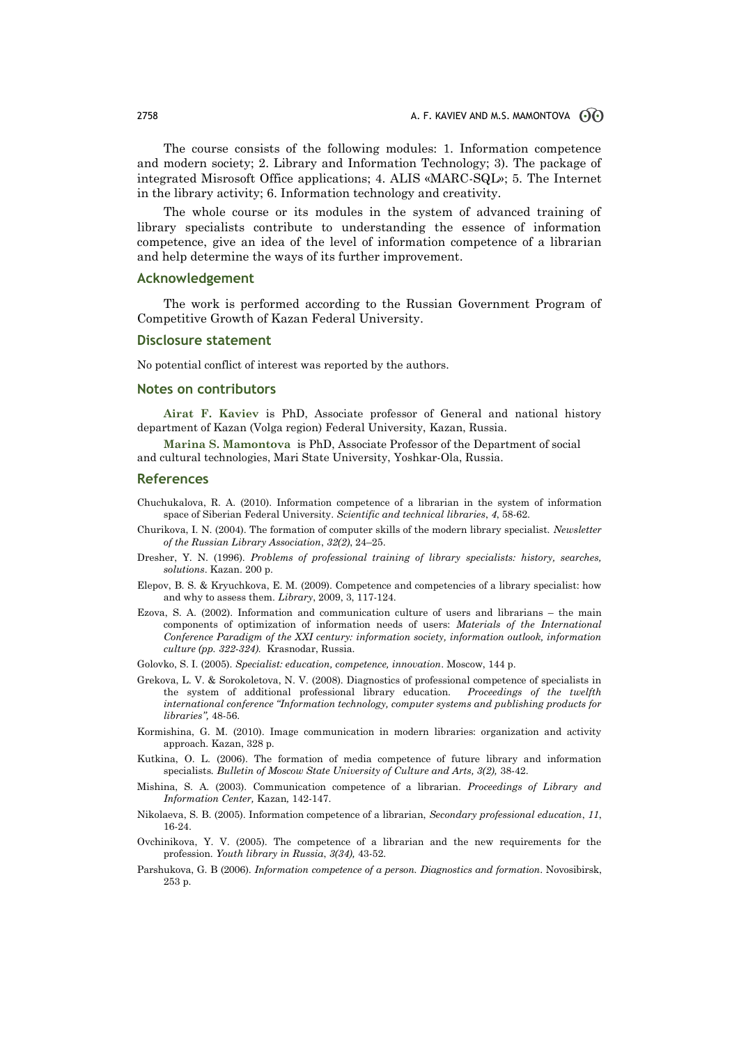The course consists of the following modules: 1. Information competence and modern society; 2. Library and Information Technology; 3). The package of integrated Misrosoft Office applications; 4. ALIS «MARC-SQL»; 5. The Internet in the library activity; 6. Information technology and creativity.

The whole course or its modules in the system of advanced training of library specialists contribute to understanding the essence of information competence, give an idea of the level of information competence of a librarian and help determine the ways of its further improvement.

#### **Acknowledgement**

The work is performed according to the Russian Government Program of Competitive Growth of Kazan Federal University.

#### **Disclosure statement**

No potential conflict of interest was reported by the authors.

#### **Notes on contributors**

**Airat F. Kaviev** is PhD, Associate professor of General and national history department of Kazan (Volga region) Federal University, Kazan, Russia.

**Marina S. Mamontova** is PhD, Associate Professor of the Department of social and cultural technologies, Mari State University, Yoshkar-Ola, Russia.

#### **References**

- Chuchukalova, R. A. (2010). Information competence of a librarian in the system of information space of Siberian Federal University. *Scientific and technical libraries*, *4*, 58-62.
- Churikova, I. N. (2004). The formation of computer skills of the modern library specialist. *Newsletter of the Russian Library Association*, *32(2)*, 24–25.
- Dresher, Y. N. (1996). *Problems of professional training of library specialists: history, searches, solutions*. Kazan. 200 p.
- Elepov, B. S. & Kryuchkova, E. M. (2009). Competence and competencies of a library specialist: how and why to assess them. *Library*, 2009, 3, 117-124.
- Ezova, S. A. (2002). Information and communication culture of users and librarians the main components of optimization of information needs of users: *Materials of the International Conference Paradigm of the XXI century: information society, information outlook, information culture (pp. 322-324).* Krasnodar, Russia.
- Golovko, S. I. (2005). *Specialist: education, competence, innovation*. Moscow, 144 p.
- Grekova, L. V. & Sorokoletova, N. V. (2008). Diagnostics of professional competence of specialists in the system of additional professional library education. *Proceedings of the twelfth international conference "Information technology, computer systems and publishing products for libraries",* 48-56.
- Kormishina, G. M. (2010). Image communication in modern libraries: organization and activity approach. Kazan, 328 p.
- Kutkina, O. L. (2006). The formation of media competence of future library and information specialists*. Bulletin of Moscow State University of Culture and Arts, 3(2),* 38-42.
- Mishina, S. A. (2003). Communication competence of a librarian. *Proceedings of Library and Information Center,* Kazan*,* 142-147.
- Nikolaeva, S. B. (2005). Information competence of a librarian, *Secondary professional education*, *11*, 16-24.
- Ovchinikova, Y. V. (2005). The competence of a librarian and the new requirements for the profession. *Youth library in Russia*, *3(34),* 43-52.
- Parshukova, G. B (2006). *Information competence of a person. Diagnostics and formation*. Novosibirsk, 253 p.